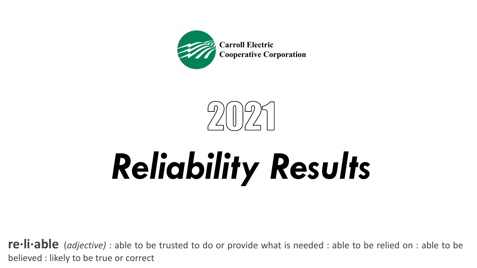



**re·li·able** (*adjective)* : able to be trusted to do or provide what is needed : able to be relied on : able to be believed : likely to be true or correct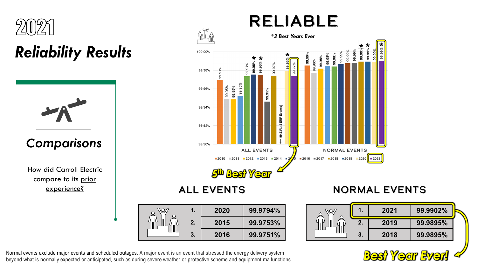

*Comparisons*

How did Carroll Electric compare to its prior experience?



ALL EVENTS

|  |    | 2020 | 99.9794% |
|--|----|------|----------|
|  | 2. | 2015 | 99.9753% |
|  | 3. | 2016 | 99.9751% |

#### NORMAL EVENTS

|   | 2021 | 99.9902% |  |
|---|------|----------|--|
| N | 2019 | 99.9895% |  |
|   | 2018 | 99.9895% |  |



Normal events exclude major events and scheduled outages. A major event is an event that stressed the energy delivery system **Definition** Wormal events exclude major events and scheduled outages. A major event is an event that stressed the energy delivery system<br>beyond what is normally expected or anticipated, such as during severe weather or pr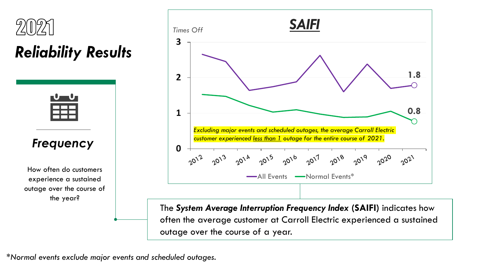

#### *Frequency*

How often do customers experience a sustained outage over the course of the year?



The *System Average Interruption Frequency Index* **(SAIFI)** indicates how often the average customer at Carroll Electric experienced a sustained outage over the course of a year.

*\*Normal events exclude major events and scheduled outages.*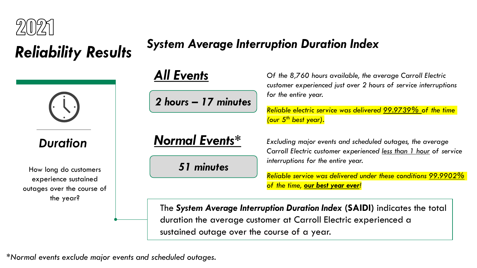

# *Duration*

How long do customers experience sustained outages over the course of the year?

### *System Average Interruption Duration Index Reliability Results*

#### *All Events*

*2 hours – 17 minutes*

#### *Normal Events\**

*51 minutes*

*Of the 8,760 hours available, the average Carroll Electric customer experienced just over 2 hours of service interruptions for the entire year.* 

*Reliable electric service was delivered 99.9739% of the time (our 5th best year).*

*Excluding major events and scheduled outages, the average Carroll Electric customer experienced less than 1 hour of service interruptions for the entire year.* 

*Reliable service was delivered under these conditions 99.9902% of the time, our best year ever!*

The *System Average Interruption Duration Index* **(SAIDI)** indicates the total duration the average customer at Carroll Electric experienced a sustained outage over the course of a year.

*\*Normal events exclude major events and scheduled outages.*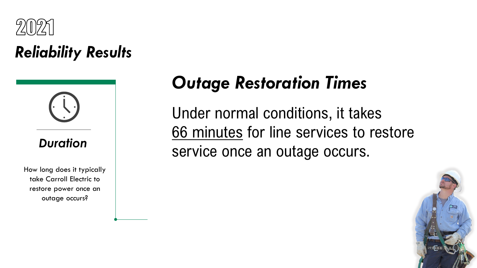



How long does it typically take Carroll Electric to restore power once an outage occurs?

#### *Outage Restoration Times*

Under normal conditions, it takes 66 minutes for line services to restore service once an outage occurs.

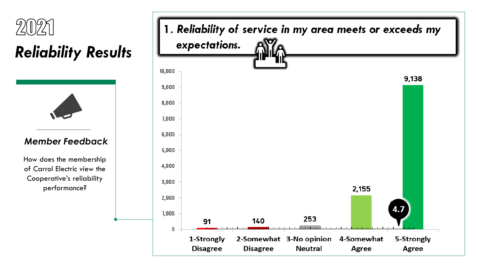



#### *Member Feedback*

How does the membership of Carrol Electric view the Cooperative's reliability performance?